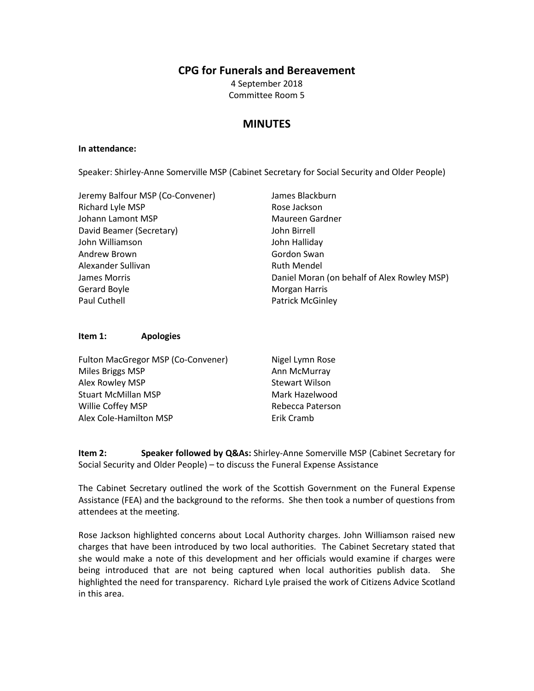## **CPG for Funerals and Bereavement**

4 September 2018 Committee Room 5

# **MINUTES**

#### **In attendance:**

Speaker: Shirley-Anne Somerville MSP (Cabinet Secretary for Social Security and Older People)

| Jeremy Balfour MSP (Co-Convener) | James Blackburn                             |
|----------------------------------|---------------------------------------------|
| Richard Lyle MSP                 | Rose Jackson                                |
| Johann Lamont MSP                | Maureen Gardner                             |
| David Beamer (Secretary)         | John Birrell                                |
| John Williamson                  | John Halliday                               |
| Andrew Brown                     | Gordon Swan                                 |
| Alexander Sullivan               | <b>Ruth Mendel</b>                          |
| James Morris                     | Daniel Moran (on behalf of Alex Rowley MSP) |
| Gerard Boyle                     | Morgan Harris                               |
| Paul Cuthell                     | <b>Patrick McGinley</b>                     |

#### **Item 1: Apologies**

| Fulton MacGregor MSP (Co-Convener) | Nigel Lymn Rose       |
|------------------------------------|-----------------------|
| Miles Briggs MSP                   | Ann McMurray          |
| Alex Rowley MSP                    | <b>Stewart Wilson</b> |
| <b>Stuart McMillan MSP</b>         | Mark Hazelwood        |
| Willie Coffey MSP                  | Rebecca Paterson      |
| Alex Cole-Hamilton MSP             | Erik Cramb            |

**Item 2: Speaker followed by Q&As:** Shirley-Anne Somerville MSP (Cabinet Secretary for Social Security and Older People) – to discuss the Funeral Expense Assistance

The Cabinet Secretary outlined the work of the Scottish Government on the Funeral Expense Assistance (FEA) and the background to the reforms. She then took a number of questions from attendees at the meeting.

Rose Jackson highlighted concerns about Local Authority charges. John Williamson raised new charges that have been introduced by two local authorities. The Cabinet Secretary stated that she would make a note of this development and her officials would examine if charges were being introduced that are not being captured when local authorities publish data. She highlighted the need for transparency. Richard Lyle praised the work of Citizens Advice Scotland in this area.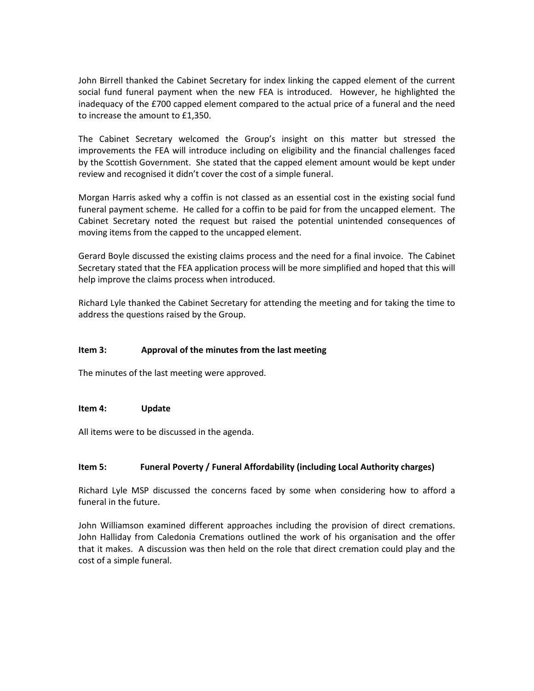John Birrell thanked the Cabinet Secretary for index linking the capped element of the current social fund funeral payment when the new FEA is introduced. However, he highlighted the inadequacy of the £700 capped element compared to the actual price of a funeral and the need to increase the amount to £1,350.

The Cabinet Secretary welcomed the Group's insight on this matter but stressed the improvements the FEA will introduce including on eligibility and the financial challenges faced by the Scottish Government. She stated that the capped element amount would be kept under review and recognised it didn't cover the cost of a simple funeral.

Morgan Harris asked why a coffin is not classed as an essential cost in the existing social fund funeral payment scheme. He called for a coffin to be paid for from the uncapped element. The Cabinet Secretary noted the request but raised the potential unintended consequences of moving items from the capped to the uncapped element.

Gerard Boyle discussed the existing claims process and the need for a final invoice. The Cabinet Secretary stated that the FEA application process will be more simplified and hoped that this will help improve the claims process when introduced.

Richard Lyle thanked the Cabinet Secretary for attending the meeting and for taking the time to address the questions raised by the Group.

### **Item 3: Approval of the minutes from the last meeting**

The minutes of the last meeting were approved.

#### **Item 4: Update**

All items were to be discussed in the agenda.

#### **Item 5: Funeral Poverty / Funeral Affordability (including Local Authority charges)**

Richard Lyle MSP discussed the concerns faced by some when considering how to afford a funeral in the future.

John Williamson examined different approaches including the provision of direct cremations. John Halliday from Caledonia Cremations outlined the work of his organisation and the offer that it makes. A discussion was then held on the role that direct cremation could play and the cost of a simple funeral.